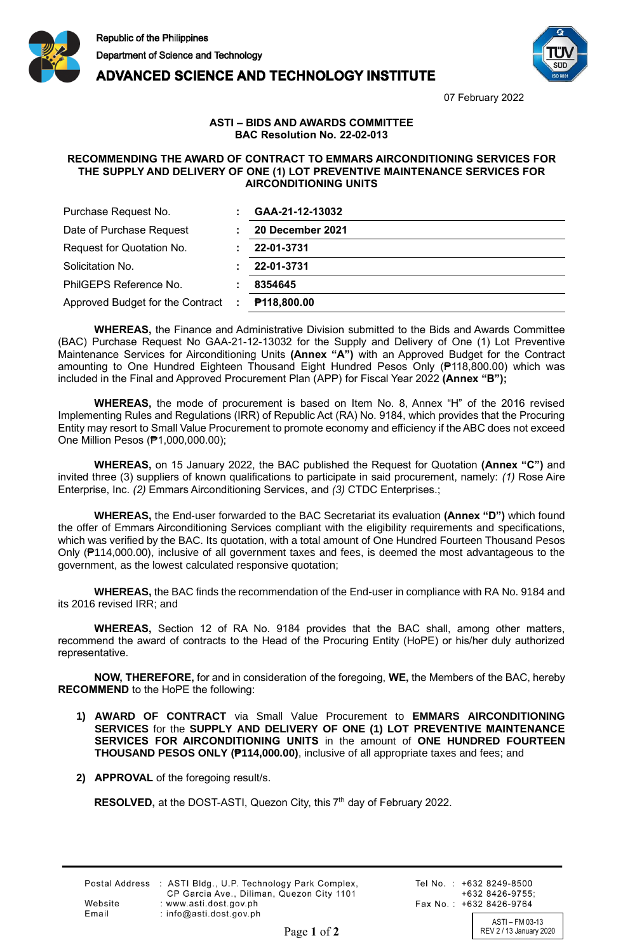

**ADVANCED SCIENCE AND TECHNOLOGY INSTITUTE** 



07 February 2022

## **ASTI – BIDS AND AWARDS COMMITTEE BAC Resolution No. 22-02-013**

## **RECOMMENDING THE AWARD OF CONTRACT TO EMMARS AIRCONDITIONING SERVICES FOR THE SUPPLY AND DELIVERY OF ONE (1) LOT PREVENTIVE MAINTENANCE SERVICES FOR AIRCONDITIONING UNITS**

| Purchase Request No.               | GAA-21-12-13032    |
|------------------------------------|--------------------|
| Date of Purchase Request           | 20 December 2021   |
| Request for Quotation No.          | 22-01-3731         |
| Solicitation No.                   | 22-01-3731         |
| PhilGEPS Reference No.             | 8354645            |
| Approved Budget for the Contract : | <b>P118,800.00</b> |

**WHEREAS,** the Finance and Administrative Division submitted to the Bids and Awards Committee (BAC) Purchase Request No GAA-21-12-13032 for the Supply and Delivery of One (1) Lot Preventive Maintenance Services for Airconditioning Units **(Annex "A")** with an Approved Budget for the Contract amounting to One Hundred Eighteen Thousand Eight Hundred Pesos Only (₱118,800.00) which was included in the Final and Approved Procurement Plan (APP) for Fiscal Year 2022 **(Annex "B");**

**WHEREAS,** the mode of procurement is based on Item No. 8, Annex "H" of the 2016 revised Implementing Rules and Regulations (IRR) of Republic Act (RA) No. 9184, which provides that the Procuring Entity may resort to Small Value Procurement to promote economy and efficiency if the ABC does not exceed One Million Pesos (₱1,000,000.00);

**WHEREAS,** on 15 January 2022, the BAC published the Request for Quotation **(Annex "C")** and invited three (3) suppliers of known qualifications to participate in said procurement, namely: *(1)* Rose Aire Enterprise, Inc. *(2)* Emmars Airconditioning Services, and *(3)* CTDC Enterprises.;

**WHEREAS,** the End-user forwarded to the BAC Secretariat its evaluation **(Annex "D")** which found the offer of Emmars Airconditioning Services compliant with the eligibility requirements and specifications, which was verified by the BAC. Its quotation, with a total amount of One Hundred Fourteen Thousand Pesos Only (₱114,000.00), inclusive of all government taxes and fees, is deemed the most advantageous to the government, as the lowest calculated responsive quotation;

**WHEREAS,** the BAC finds the recommendation of the End-user in compliance with RA No. 9184 and its 2016 revised IRR; and

**WHEREAS,** Section 12 of RA No. 9184 provides that the BAC shall, among other matters, recommend the award of contracts to the Head of the Procuring Entity (HoPE) or his/her duly authorized representative.

**NOW, THEREFORE,** for and in consideration of the foregoing, **WE,** the Members of the BAC, hereby **RECOMMEND** to the HoPE the following:

- **1) AWARD OF CONTRACT** via Small Value Procurement to **EMMARS AIRCONDITIONING SERVICES** for the **SUPPLY AND DELIVERY OF ONE (1) LOT PREVENTIVE MAINTENANCE SERVICES FOR AIRCONDITIONING UNITS** in the amount of **ONE HUNDRED FOURTEEN THOUSAND PESOS ONLY (₱114,000.00)**, inclusive of all appropriate taxes and fees; and
- **2) APPROVAL** of the foregoing result/s.

RESOLVED, at the DOST-ASTI, Quezon City, this 7<sup>th</sup> day of February 2022.